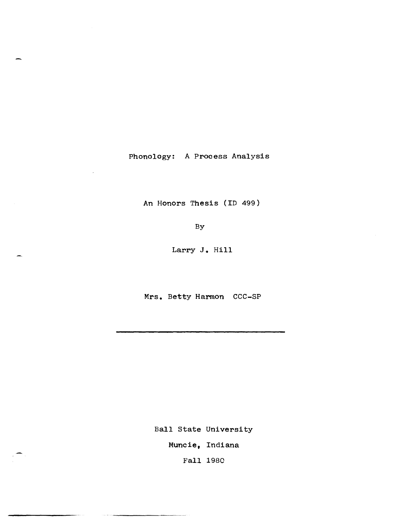Phonology: A Process Analysis

An Honors Thesis (ID 499)

By

Larry J. Hill

Mrs. Betty Harmon CCC-SP

Ball State University Muncie, Indiana Fall 1980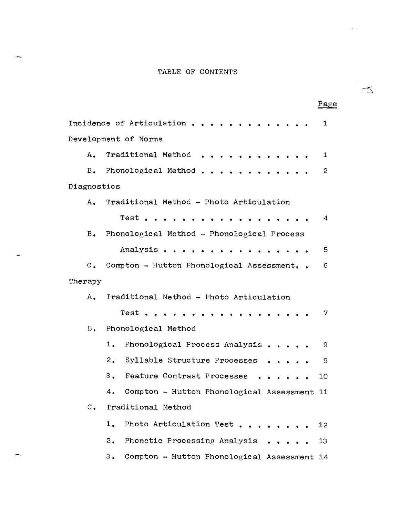# TABLE OF CONTENTS

|                |                                                   | Page |
|----------------|---------------------------------------------------|------|
|                | Incidence of Articulation                         | 1    |
|                | Development of Norms                              |      |
| А.             | Traditional Method<br>$\bullet$                   | 1    |
| $B_{\bullet}$  | Phonological Method                               | 2    |
| Diagnostics    |                                                   |      |
| А.             | Traditional Method - Photo Articulation           |      |
|                | Test                                              | 4    |
| $B_{\bullet}$  | Phonological Method - Phonological Process        |      |
|                | Analysis<br>$\bullet$ $\bullet$                   | 5    |
| $\mathbf{C}$ . | Compton - Hutton Phonological Assessment          | 6    |
| Therapy        |                                                   |      |
| A.             | Traditional Method - Photo Articulation           |      |
|                | Test                                              | 7    |
| $B_{\bullet}$  | Phonological Method                               |      |
|                | 1.<br>Phonological Process Analysis               | 9.   |
|                | 2.<br>Syllable Structure Processes                | 9    |
|                | Feature Contrast Processes<br>3.                  | 10   |
|                | Compton - Hutton Phonological Assessment 11<br>4. |      |
| $\mathbf{C}$ . | Traditional Method                                |      |
|                | 1.<br>Photo Articulation Test                     | 12   |
|                | Phonetic Processing Analysis<br>2.                | 13   |
|                | Compton - Hutton Phonological Assessment 14<br>3. |      |

÷

 $\preceq$ 

 $\alpha = \alpha_0$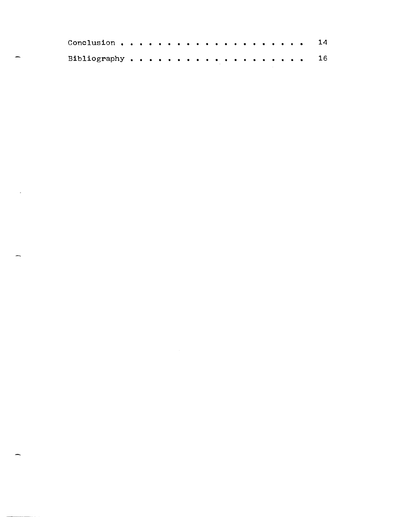|                 |  |  |  |  |  |  |  |  |  |  | 14 <sup>1</sup> |
|-----------------|--|--|--|--|--|--|--|--|--|--|-----------------|
| Bibliography 16 |  |  |  |  |  |  |  |  |  |  |                 |

 $\mathcal{L}_{\text{max}}$  .

÷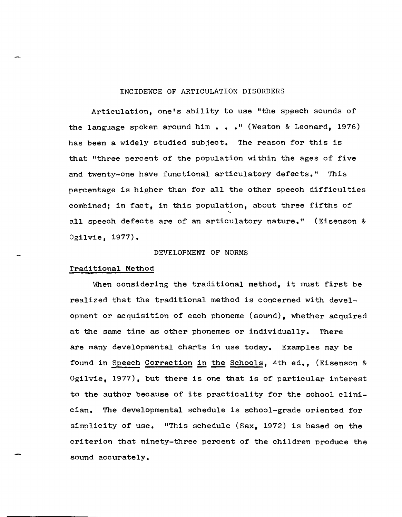# INCIDENCE OF ARTICULATION DISORDERS

Articulation, one's ability to use "the speech sounds of the language spoken around him  $\bullet \bullet \bullet$  " (Weston & Leonard, 1976) has been a widely studied subject. The reason for this is that "three percent of the population within the ages of five and twenty-one have functional articulatory defects." This percentage is higher than for all the other speech difficulties combined; in fact, in this population, about three fifths of all speech defects are of an articulatory nature." (Eisenson & Ogilvie, 1977).

#### DEVELOPMENT OF NORMS

## Traditional Method

When considering the traditional method, it must first be realized that the traditional method is concerned with deve1 opment or acquisition of each phoneme (sound), whether acquired at the same time as other phonemes or individually. There are many developmental charts in use today. Examples may be found in Speech Correction in the Schools, 4th ed., (Eisenson & Ogilvie, 1977), but there is one that is of particular interest to the author because of its practicality for the school c1inician. The developmental schedule is school-grade oriented for simplicity of use. "This schedule (Sax, 1972) is based on the criterion that ninety-three percent of the children produce the sound accurately.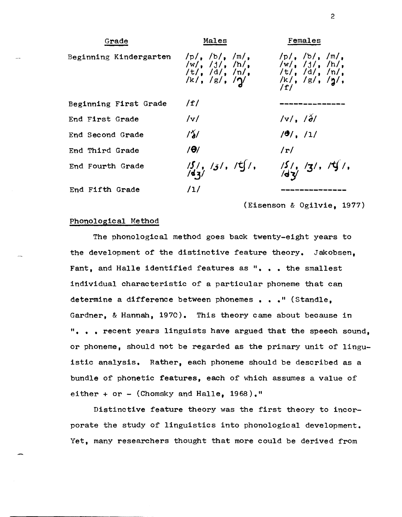

(Eisenson & Ogilvie, 1977)

#### Phonological Method

The phonological method goes back twenty-eight years to the development of the distinctive feature theory. Jakobsen, Fant, and Halle identified features as ". . . the smallest individual characteristic of a particular phoneme that can determine a difference between phonemes . . . " (Standle. Gardner, & Hannah, 1970). This theory came about because in ". . . recent years linguists have argued that the speech sound. or phoneme, should not be regarded as the primary unit of 1inguistic analysis. Rather, each phoneme should be described as a bundle of phonetic features, each of which assumes a value of either + or  $-$  (Chomsky and Halle, 1968)."

Distinctive feature theory was the first theory to incorporate the study of linguistics into phonological development. Yet, many researchers thought that more could be derived from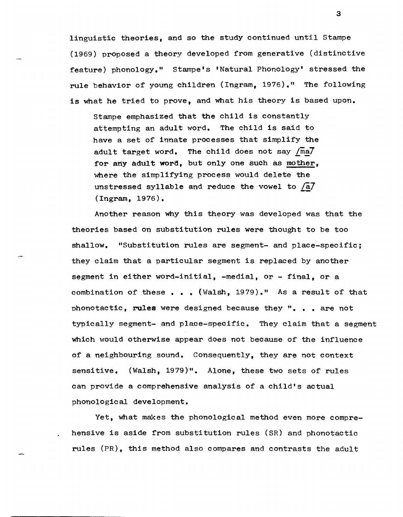linguistic theories, and so the study continued until Stampe (1969) proposed a theory developed from generative (distinctive feature) phonology." Stampe's 'Natural Phonology' stressed the rule behavior of young children (Ingram, 1976)." The following is what he tried to prove, and what his theory is based upon.

stampe emphasized that the child is constantly attempting an adult word. The child is said to have a set of innate processes that simplify the adult target word. The child does not say  $\sqrt{ma}$ for any adult word, but only one such as mother, where the simplifying process would delete the unstressed syllable and reduce the vowel to  $\sqrt{a}$ . (Ingram, 1976).

Another reason why this theory was developed was that the theories based on substitution rules were thought to be too shallow. "Substitution rules are segment- and place-specific; they claim that a particular segment is replaced by another segment in either word-initial, -medial, or - final, or a combination of these . . . (Walsh, 1979)." As a result of that phonotactic, rules were designed because they  $\alpha$ , . are not typically segment- and place-specific. They claim that a segment which would otherwise appear does not because of the influence of a neighbouring sound. Consequently, they are not context sensitive. (Walsh, 1979)". Alone, these two sets of rules can provide a comprehensive analysis of a child's actual phonological development.

Yet, what makes the phonological method even more comprehensive is aside from substitution rules (SR) and phonotactic rules (PR), this method also compares and contrasts the adult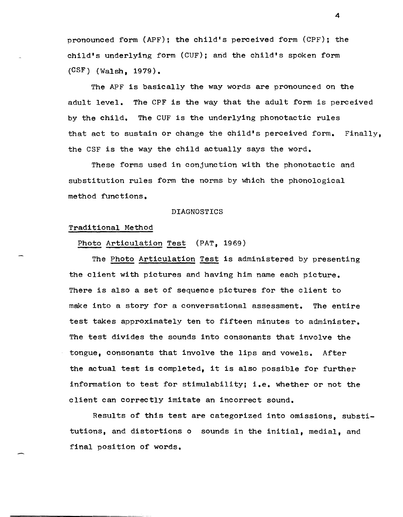pronounced form (APF); the child's perceived form (CPF); the child's underlying form (CUF); and the child's spoken form (CSF) (Walsh, 1979).

The APF is basically the way words are pronounced on the adult level. The CPF is the way that the adult form is perceived by the child. The CUF is the underlying phonotactic rules that act to sustain or change the child's perceived form. Finally. the CSF is the way the child actually says the word.

These forms used in conjunction with the phonotactic and substitution rules form the norms by which the phonological method functions.

#### DIAGNOSTICS

# Traditional Method

Photo Articulation Test (PAT, 1969)

The Photo Articulation Test is administered by presenting the client with pictures and having him name each picture. There is also a set of sequence pictures for the client to make into a story for a conversational assessment. The entire test takes approximately ten to fifteen minutes to administer. The test divides the sounds into consonants that involve the tongue, consonants that involve the lips and vowels. After the actual test is completed, it is also possible for further information to test for stimulability; i.e. whether or not the client can correctly imitate an incorrect sound.

Results of this test are categorized into omissions, substitutions, and distortions 0 sounds in the initial, medial, and final position of words.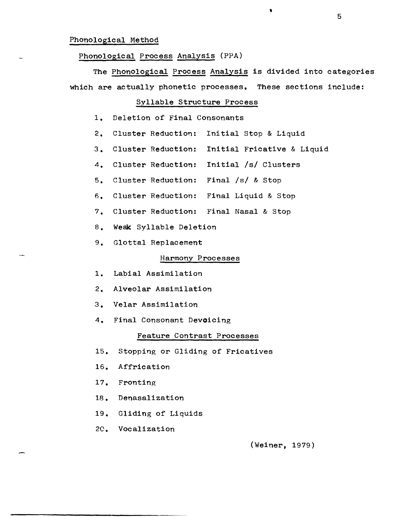#### Phonological Method

# Phonological Process Analysis (PPA)

The Phonological Process Analysis is divided into categories which are actually phonetic processes. These sections include:

# Syllable Structure Process

- 1. Deletion of Final Consonants
- 2. Cluster Reduction: Initial stop & Liquid
- 3. Cluster Reduction: Initial Fricative & Liquid
- 4. Cluster Reduction: Initial /s/ Clusters
- 5. Cluster Reduction: Final *Is/ &* Stop
- 6. Cluster Reduction: Final Liquid & Stop
- 7. Cluster Reduction: Final Nasal & Stop
- 8. Weak Syllable Deletion
- 9. Glottal Replacement

# Harmony Processes

- 1. Labial Assimilation
- 2. Alveolar Assimilation
- 3. Velar Assimilation
- 4. Final Consonant Devoicing

#### Feature Contrast Processes

- 15. Stopping or Gliding of Fricatives
- 16. Affrication
- 17. Fronting
- 18. Denasalization
- 19. Gliding of Liquids
- *20.* Vocalization

(Weiner, 1979)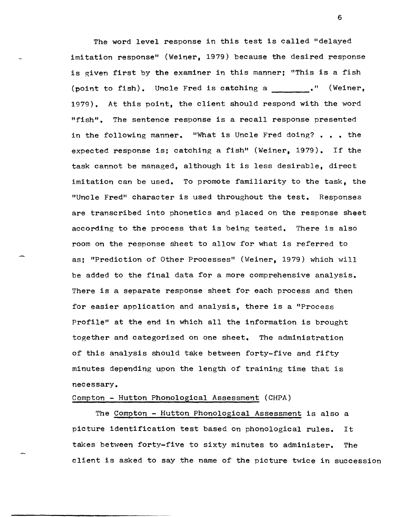The word level response in this test is called "delayed imitation response" (Weiner, 1979) because the desired response is given first by the examiner in this manner; "This is a fish (point to fish). Uncle Fred is catching a \_\_\_\_\_\_." (Weiner, 1979). At this point, the client should respond with the word "fish". The sentence response is a recall response presented in the following manner. "What is Uncle Fred doing?  $\bullet$  ,  $\bullet$  the expected response is; catching a fish" (Weiner, 1979). If the task cannot be managed, although it is less desirable, direct imitation can be used. To promote familiarity to the task, the "Uncle Fred" character is used throughout the test. Responses are transcribed into phonetics and placed on the response sheet according to the process that is being tested. There is also room on the response sheet to allow for what is referred to as; "Prediction of Other Processes" (Weiner, 1979) which will be added to the final data for a more comprehensive analysis. There is a separate response sheet for each process and then for easier application and analysis, there is a "Process Profile" at the end in which all the information is brought together and categorized on one sheet. The administration of this analysis should take between forty-five and fifty minutes depending upon the length of training time that is necessary.

## Compton - Hutton Phonological Assessment (CHPA)

The Compton - Hutton Phonological Assessment is also a picture identification test based on phonological rules. It takes between forty-five to sixty minutes to administer. The client is asked to say the name of the picture twice in succession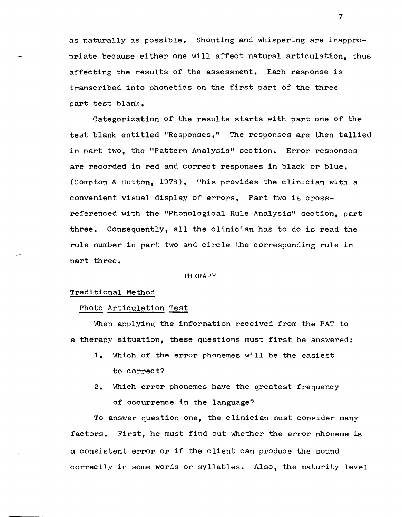as naturally as possible. Shouting and whispering are inappropriate because either one will affect natural articulation, thus affecting the results of the assessment. Each response is transcribed into phonetics on the first part of the three part test blank.

Categorization of the results starts with part one of the test blank entitled "Responses." The responses are then tallied in part two, the "Pattern Analysis" section. Error responses are recorded in red and correct responses in black or blue. (Compton & Hutton, 1978). This provides the clinician with a convenient visual display of errors. Part two is crossreferenced with the "Phonological Rule Analysis" section, part three. Consequently, all the clinician has to do is read the rule number in part two and circle the corresponding rule in part three.

#### THERAPY

## Traditional Method

#### Photo Articulation Test

When applying the information received from the PAT to a therapy situation, these questions must first be answered:

- 1. Which of the error phonemes will be the easiest to correct?
- 2. Which error phonemes have the greatest frequency of occurrence in the language?

To answer question one, the clinician must consider many factors. First, he must find out whether the error phoneme is a consistent error or if the client can produce the sound correctly in some words or syllables. Also, the maturity level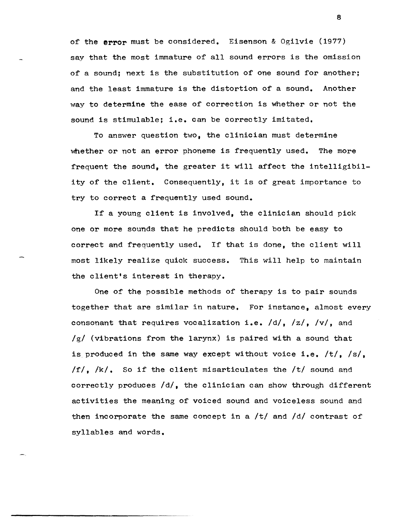of the error must be considered. Eisenson & Ogilvie (1977) say that the most immature of all sound errors is the omission of a sound; next is the substitution of one sound for another; and the least immature is the distortion of a sound. Another way to determine the ease of correction is whether or not the sound is stimulable; i.e. can be correctly imitated.

To answer question two, the clinician must determine whether or not an error phoneme is frequently used. The more frequent the sound, the greater it will affect the intelligibility of the client. Consequently, it is of great importance to try to correct a frequently used sound.

If a young client is involved, the clinician should pick one or more sounds that he predicts should both be easy to correct and frequently used. If that is done, the client will most likely realize quick success. This will help to maintain the client's interest in therapy.

One of the possible methods of therapy is to pair sounds together that are similar in nature. For instance, almost every consonant that requires vocalization i.e.  $/d/$ ,  $/z/$ ,  $/v/$ , and /g/ (vibrations from the larynx) is paired with a sound that is produced in the same way except without voice i.e. /t/, /s/,  $If$ ,  $/k$ , So if the client misarticulates the  $/t/$  sound and correctly produces /d/, the clinician can show through different activities the meaning of voiced sound and voiceless sound and then incorporate the same concept in a  $/t/$  and  $/d/$  contrast of syllables and words.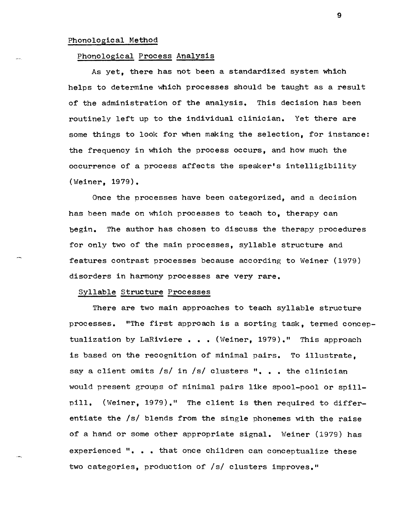# Phonological Method

#### Phonological Process Analysis

As yet, there has not been a standardized system which helps to determine which processes should be taught as a result of the administration of the analysis. This decision has been routinely left up to the individual clinician. Yet there are some things to look for when making the selection, for instance: the frequency in which the process occurs, and how much the occurrence of a process affects the speaker's intelligibility (Weiner, 1979).

Once the processes have been categorized, and a decision has been made on which processes to teach to, therapy can begin. The author has chosen to discuss the therapy procedures for only two of the main processes, syllable structure and features contrast processes because according to Weiner (1979) disorders in harmony processes are very rare.

# Syllable Structure Processes

There are two main approaches to teach syllable structure processes. "The first approach is a sorting task, termed conceptualization by LaRiviere  $\bullet \bullet \bullet$  (Weiner, 1979)." This approach is based on the recognition of minimal pairs. To illustrate, say a client omits /s/ in /s/ clusters ". . . the clinician would present groups of minimal pairs like spool-pool or spillpill. (Weiner, 1979)." The client is then required to differentiate the /s/ blends from the single phonemes with the raise of a hand or some other appropriate signal. Weiner (1979) has experienced ". . . that once children can conceptualize these two categories, production of /s/ clusters improves."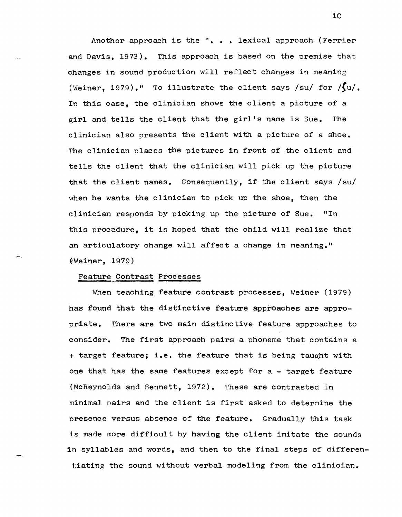Another approach is the "... lexical approach (Ferrier and Davis, 1973). This approach is based on the premise that changes in sound production will reflect changes in meaning (Weiner, 1979)." To illustrate the client says /su/ for  $\sqrt{\int} u$ . In this case, the clinician shows the client a picture of a girl and tells the client that the girl's name is Sue. The clinician also presents the client with a picture of a shoe. The clinician places the pictures in front of the client and tells the client that the clinician will pick up the picture that the client names. Consequently, if the client says /su/ when he wants the clinician to pick up the shoe, then the clinician responds by picking up the picture of Sue. "In this procedure, it is hoped that the child will realize that an articulatory change will affect a change in meaning." ('Weiner, 1979)

#### Feature Contrast Processes

When teaching feature contrast processes, Weiner (1979) has found that the distinctive feature approaches are appropriate. There are two main distinctive feature approaches to consider. The first approach pairs a phoneme that contains a <sup>+</sup>target feature; i.e. the feature that is being taught with one that has the same features except for a - target feature (McReynolds and Bennett, 1972). These are contrasted in minimal pairs and the client is first asked to determine the presence versus absence of the feature. Gradually this task is made more difficult by having the client imitate the sounds in syllables and words, and then to the final steps of differentiating the sound without verbal modeling from the clinician.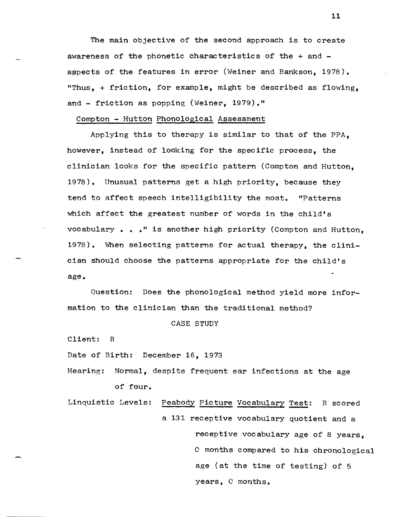The main objective of the second approach is to create awareness of the phonetic characteristics of the + and aspects of the features in error (Weiner and Bankson, 1978). "Thus, + friction, for example, might be described as flowing, and - friction as popping (Weiner, 1979)."

## Compton - Hutton Phonological Assessment

Applying this to therapy is similar to that of the PPA, however, instead of looking for the specific process, the clinician looks for the specific pattern (Compton and Hutton, 1978) • Unusual patterns get a high priority, because they tend to affect speech intelligibility the most. "Patterns which affect the greatest number of words in the child's vocabulary ••• " is another high priority (Compton and Hutton, 1978). When selecting patterns for actual therapy, the clinician should choose the patterns appropriate for the child's age.

Question: Does the phonological method yield more information to the clinician than the traditional method?

#### CASE STUDY

Client: R

-

Date of Birth: December 16, 1973

Hearing: Normal, despite frequent ear infections at the age of four.

Linquistic Levels: Peabody Picture Vocabulary Test: R scored a 131 receptive vocabulary quotient and a receptive vocabulary age of 8 years, o months compared to his chronological age (at the time of testing) of 5 years, C months.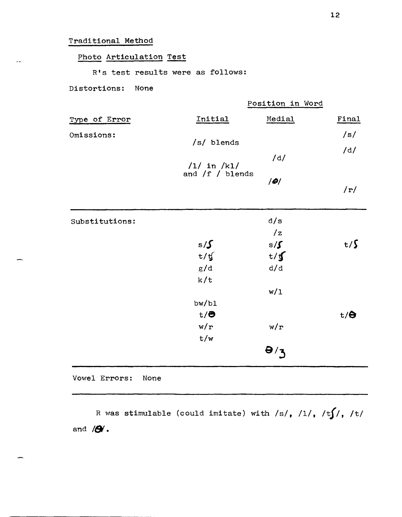# Traditional Method

 $\overline{a}$ 

# Photo Articulation Test

R's test results were as follows:

# Distortions: None

|                |                   | Position in Word |            |
|----------------|-------------------|------------------|------------|
| Type of Error  | Initial           | Medial           | Final      |
| Omissions:     | /s/ blends        |                  | /s/        |
|                |                   | /d/              | /d/        |
|                | $/1/$ in $/k1/$   |                  |            |
|                | and $/f$ / blends | Q                |            |
|                |                   |                  | /r/        |
| Substitutions: |                   | d/s              |            |
|                |                   | $\sqrt{z}$       |            |
|                | $s/\mathcal{S}$   | s/f              | $t/\zeta$  |
|                | t/f               | t/f              |            |
|                | g/d               | d/d              |            |
|                | k/t               |                  |            |
|                |                   | w/1              |            |
|                | bw/b1             |                  |            |
|                | $t/\Theta$        |                  | $t/\Theta$ |
|                | w/r               | w/r              |            |
|                | t/w               |                  |            |
|                |                   | $\theta/3$       |            |

Vowel Errors: None

R was stimulable (could imitate) with /s/, /l/, /t**f**/, /t/ and **18.**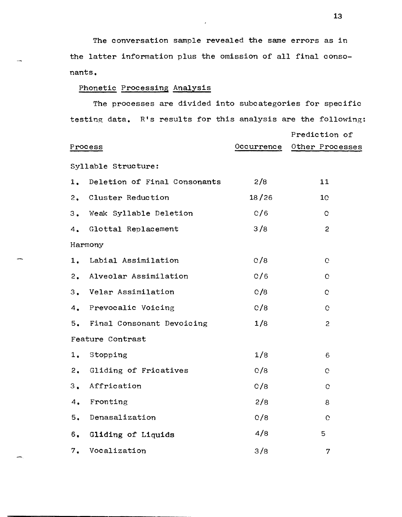The conversation sample revealed the same errors as in the latter information plus the omission of all final consonants.

# Phonetic Processing Analysis

The processes are divided into subcategories for specific testing data. R's results for this analysis are the following:

|    |                                 |            | Prediction of   |
|----|---------------------------------|------------|-----------------|
|    | Process                         | Occurrence | Other Processes |
|    | Syllable Structure:             |            |                 |
|    | 1. Deletion of Final Consonants | 2/8        | 11              |
|    | 2. Cluster Reduction            | 18/26      | 10 <sub>1</sub> |
|    | 3. Weak Syllable Deletion       | C/6        | $\mathbf C$     |
|    | 4. Glottal Replacement          | 3/8        | $\overline{c}$  |
|    | Harmony                         |            |                 |
|    | 1. Labial Assimilation          | C/8        | $\mathbf C$     |
|    | 2. Alveolar Assimilation        | C/6        | $\mathbf C$     |
|    | 3. Velar Assimilation           | C/8        | $\mathbf C$     |
|    | 4. Prevocalic Voicing           | C/8        | $\mathbf C$     |
|    | 5. Final Consonant Devoicing    | 1/8        | $\overline{c}$  |
|    | Feature Contrast                |            |                 |
| 1. | Stopping                        | 1/8        | 6               |
| 2. | Gliding of Fricatives           | C/8        | O.              |
| 3. | Affrication                     | C/8        | $\mathbf C$     |
| 4. | Fronting                        | 2/8        | 8               |
|    | 5. Denasalization               | O/8        | $\mathbf C$     |
| 6. | Gliding of Liquids              | 4/8        | 5               |
| 7. | Vocalization                    | 3/8        | 7               |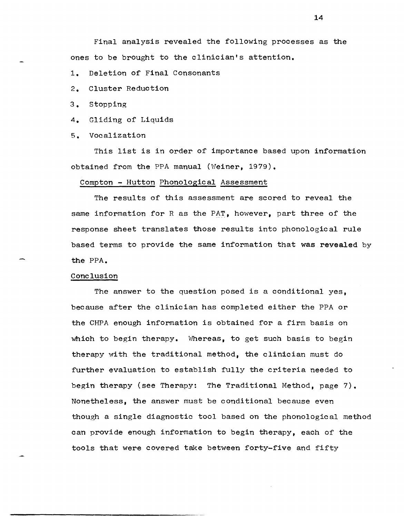Final analysis revealed the following processes as the ones to be brought to the clinician's attention.

- 1. Deletion of Final Consonants
- 2. Cluster Reduction
- 3. Stopping
- 4. Gliding of Liquids
- 5. Vocalization

This list is in order of importance based upon information obtained from the PPA manual (Weiner, 1979).

#### Compton - Hutton Phonological Assessment

The results of this assessment are scored to reveal the same information for R as the PAT, however, part three of the response sheet translates those results into phonological rule based terms to provide the same information that was revealed by the PPA.

# Conclusion

The answer to the question posed is a conditional yes, because after the clinician has completed either the PPA or the CHPA enough information is obtained for a firm basis on which to begin therapy. Whereas, to get such basis to begin therapy with the traditional method, the clinician must do further evaluation to establish fully the criteria needed to begin therapy (see Therapy: The Traditional Method, page 7). Nonetheless, the answer must be conditional because even though a single diagnostic tool based on the phonological method can provide enough information to begin therapy, each of the tools that were covered take between forty-five and fifty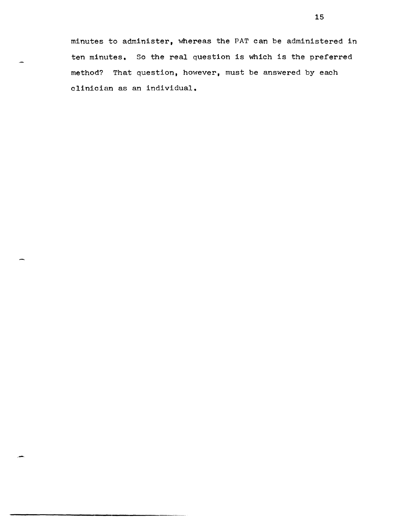minutes to administer, whereas the PAT can be administered in ten minutes. So the real question is which is the preferred method? That question, however, must be answered by each clinician as an individual.